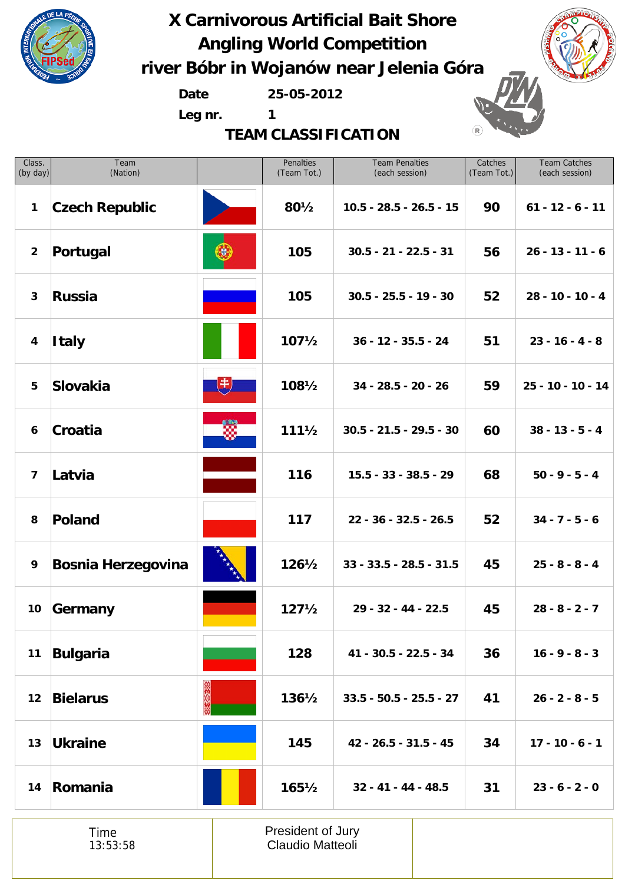

**Date 25-05-2012**

**Leg nr. 1**

**TEAM CLASSIFICATION**





| Class.<br>(by day)      | Team<br>(Nation)          |    | Penalties<br>(Team Tot.) | <b>Team Penalties</b><br>(each session) | Catches<br>(Team Tot.) | <b>Team Catches</b><br>(each session) |
|-------------------------|---------------------------|----|--------------------------|-----------------------------------------|------------------------|---------------------------------------|
| $\mathbf{1}$            | <b>Czech Republic</b>     |    | 801/2                    | $10.5 - 28.5 - 26.5 - 15$               | 90                     | $61 - 12 - 6 - 11$                    |
| $\overline{2}$          | Portugal                  |    | 105                      | $30.5 - 21 - 22.5 - 31$                 | 56                     | $26 - 13 - 11 - 6$                    |
| $\mathbf{3}$            | <b>Russia</b>             |    | 105                      | $30.5 - 25.5 - 19 - 30$                 | 52                     | $28 - 10 - 10 - 4$                    |
| $\boldsymbol{4}$        | <b>Italy</b>              |    | $107\frac{1}{2}$         | $36 - 12 - 35.5 - 24$                   | 51                     | $23 - 16 - 4 - 8$                     |
| 5                       | <b>Slovakia</b>           | (书 | 1081/2                   | $34 - 28.5 - 20 - 26$                   | 59                     | $25 - 10 - 10 - 14$                   |
| 6                       | Croatia                   | ▧  | $111\frac{1}{2}$         | $30.5 - 21.5 - 29.5 - 30$               | 60                     | $38 - 13 - 5 - 4$                     |
| $\overline{\mathbf{z}}$ | Latvia                    |    | 116                      | $15.5 - 33 - 38.5 - 29$                 | 68                     | $50 - 9 - 5 - 4$                      |
| 8                       | <b>Poland</b>             |    | 117                      | $22 - 36 - 32.5 - 26.5$                 | 52                     | $34 - 7 - 5 - 6$                      |
| 9                       | <b>Bosnia Herzegovina</b> |    | $126\frac{1}{2}$         | $33 - 33.5 - 28.5 - 31.5$               | 45                     | $25 - 8 - 8 - 4$                      |
| 10 <sub>1</sub>         | Germany                   |    | $127\frac{1}{2}$         | 29 - 32 - 44 - 22.5                     | 45                     | $28 - 8 - 2 - 7$                      |
| 11                      | <b>Bulgaria</b>           |    | 128                      | 41 - 30.5 - 22.5 - 34                   | 36                     | $16 - 9 - 8 - 3$                      |
| 12                      | <b>Bielarus</b>           |    | $136\frac{1}{2}$         | $33.5 - 50.5 - 25.5 - 27$               | 41                     | $26 - 2 - 8 - 5$                      |
| 13                      | <b>Ukraine</b>            |    | 145                      | 42 - 26.5 - 31.5 - 45                   | 34                     | $17 - 10 - 6 - 1$                     |
|                         | 14 Romania                |    | $165\frac{1}{2}$         | $32 - 41 - 44 - 48.5$                   | 31                     | $23 - 6 - 2 - 0$                      |
|                         |                           |    |                          |                                         |                        |                                       |

Time 13:53:58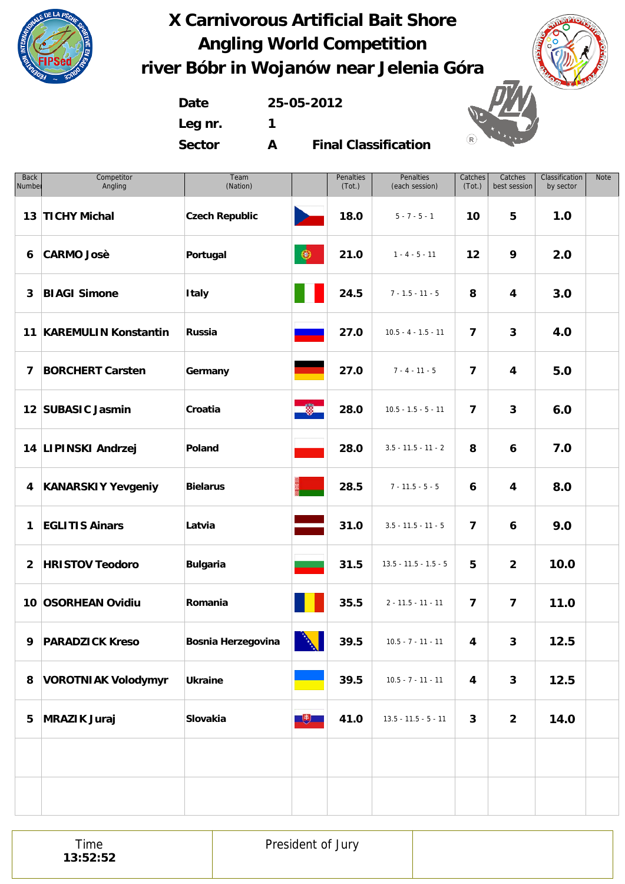

**Date 25-05-2012 Leg nr. 1 Sector A**

**Final Classification**

| <b>Back</b><br>Number | Competitor<br>Angling      | Team<br>(Nation)      |                      | Penalties<br>(Tot.) | Penalties<br>(each session) | Catches<br>(Tot.)       | Catches<br>best session | Classification<br>by sector | Note |
|-----------------------|----------------------------|-----------------------|----------------------|---------------------|-----------------------------|-------------------------|-------------------------|-----------------------------|------|
|                       | 13 TICHY Michal            | <b>Czech Republic</b> | <b>Participation</b> | 18.0                | $5 - 7 - 5 - 1$             | 10                      | 5                       | 1.0                         |      |
| 6                     | <b>CARMO Josè</b>          | Portugal              | $\circledast$        | 21.0                | $1 - 4 - 5 - 11$            | 12                      | 9                       | 2.0                         |      |
| 3                     | <b>BIAGI Simone</b>        | <b>Italy</b>          |                      | 24.5                | $7 - 1.5 - 11 - 5$          | 8                       | 4                       | 3.0                         |      |
|                       | 11 KAREMULIN Konstantin    | Russia                |                      | 27.0                | $10.5 - 4 - 1.5 - 11$       | $\overline{\mathbf{z}}$ | 3                       | 4.0                         |      |
| $\overline{7}$        | <b>BORCHERT Carsten</b>    | Germany               |                      | 27.0                | $7 - 4 - 11 - 5$            | $\overline{\mathbf{z}}$ | 4                       | 5.0                         |      |
|                       | 12 SUBASIC Jasmin          | Croatia               | ∙                    | 28.0                | $10.5 - 1.5 - 5 - 11$       | $\overline{\mathbf{z}}$ | 3                       | 6.0                         |      |
|                       | 14 LIPINSKI Andrzej        | Poland                |                      | 28.0                | $3.5 - 11.5 - 11 - 2$       | 8                       | 6                       | 7.0                         |      |
| 4                     | <b>KANARSKIY Yevgeniy</b>  | <b>Bielarus</b>       |                      | 28.5                | $7 - 11.5 - 5 - 5$          | 6                       | 4                       | 8.0                         |      |
| 1                     | <b>EGLITIS Ainars</b>      | Latvia                |                      | 31.0                | $3.5 - 11.5 - 11 - 5$       | $\overline{\mathbf{z}}$ | 6                       | 9.0                         |      |
| $\overline{2}$        | <b>HRISTOV Teodoro</b>     | <b>Bulgaria</b>       |                      | 31.5                | $13.5 - 11.5 - 1.5 - 5$     | 5                       | $\overline{2}$          | 10.0                        |      |
|                       | 10 OSORHEAN Ovidiu         | Romania               |                      | 35.5                | $2 - 11.5 - 11 - 11$        | $\overline{\mathbf{z}}$ | $\overline{\mathbf{z}}$ | 11.0                        |      |
| 9                     | <b>PARADZICK Kreso</b>     | Bosnia Herzegovina    | Ŋ<br>$\mathbf{A}$    | 39.5                | $10.5 - 7 - 11 - 11$        | 4                       | 3                       | 12.5                        |      |
| 8                     | <b>VOROTNIAK Volodymyr</b> | <b>Ukraine</b>        |                      | 39.5                | $10.5 - 7 - 11 - 11$        | $\overline{\mathbf{4}}$ | $\mathbf{3}$            | 12.5                        |      |
| 5                     | <b>MRAZIK Juraj</b>        | Slovakia              | 也                    | 41.0                | $13.5 - 11.5 - 5 - 11$      | 3                       | $\overline{2}$          | 14.0                        |      |
|                       |                            |                       |                      |                     |                             |                         |                         |                             |      |
|                       |                            |                       |                      |                     |                             |                         |                         |                             |      |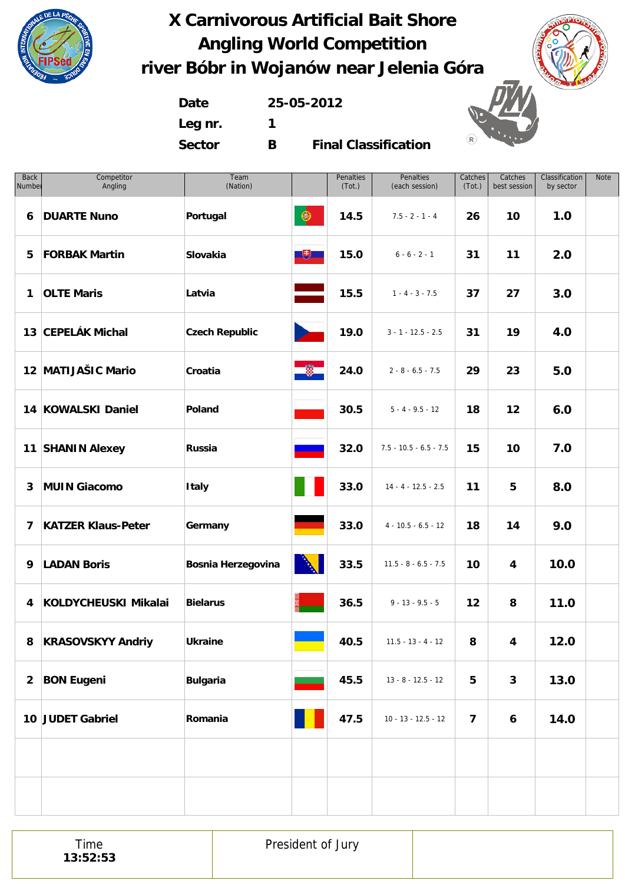







**Leg nr. 1 Sector B**

**Final Classification**

| <b>Back</b><br>Number | Competitor<br>Angling     | Team<br>(Nation)      |                                          | Penalties<br>(Tot.) | Penalties<br>(each session) | Catches<br>(Tot.)       | Catches<br>best session | Classification<br>by sector | <b>Note</b> |
|-----------------------|---------------------------|-----------------------|------------------------------------------|---------------------|-----------------------------|-------------------------|-------------------------|-----------------------------|-------------|
| 6                     | <b>DUARTE Nuno</b>        | Portugal              | $\circledast$                            | 14.5                | $7.5 - 2 - 1 - 4$           | 26                      | 10                      | 1.0                         |             |
| 5                     | <b>FORBAK Martin</b>      | Slovakia              | $\mathbb{R}^+$                           | 15.0                | $6 - 6 - 2 - 1$             | 31                      | 11                      | 2.0                         |             |
| $\mathbf{1}$          | <b>OLTE Maris</b>         | Latvia                |                                          | 15.5                | $1 - 4 - 3 - 7.5$           | 37                      | 27                      | 3.0                         |             |
|                       | 13 CEPELÁK Michal         | <b>Czech Republic</b> | $\mathcal{L}$                            | 19.0                | $3 - 1 - 12.5 - 2.5$        | 31                      | 19                      | 4.0                         |             |
|                       | 12 MATIJAŠIC Mario        | Croatia               | $\bullet$                                | 24.0                | $2 - 8 - 6.5 - 7.5$         | 29                      | 23                      | 5.0                         |             |
|                       | 14 KOWALSKI Daniel        | Poland                |                                          | 30.5                | $5 - 4 - 9.5 - 12$          | 18                      | 12                      | 6.0                         |             |
|                       | 11 SHANIN Alexey          | Russia                |                                          | 32.0                | $7.5 - 10.5 - 6.5 - 7.5$    | 15                      | 10                      | 7.0                         |             |
| 3                     | <b>MUIN Giacomo</b>       | <b>Italy</b>          |                                          | 33.0                | $14 - 4 - 12.5 - 2.5$       | 11                      | 5                       | 8.0                         |             |
| 7                     | <b>KATZER Klaus-Peter</b> | Germany               |                                          | 33.0                | $4 - 10.5 - 6.5 - 12$       | 18                      | 14                      | 9.0                         |             |
| 9                     | <b>LADAN Boris</b>        | Bosnia Herzegovina    | N                                        | 33.5                | $11.5 - 8 - 6.5 - 7.5$      | 10                      | 4                       | 10.0                        |             |
| 4                     | KOLDYCHEUSKI Mikalai      | <b>Bielarus</b>       |                                          | 36.5                | $9 - 13 - 9.5 - 5$          | 12                      | 8                       | 11.0                        |             |
| 8                     | <b>KRASOVSKYY Andriy</b>  | <b>Ukraine</b>        | $\mathcal{O}(\mathcal{O}_\mathcal{O})$ . | 40.5                | $11.5 - 13 - 4 - 12$        | 8                       | 4                       | 12.0                        |             |
| $\mathbf{2}$          | <b>BON Eugeni</b>         | <b>Bulgaria</b>       |                                          | 45.5                | $13 - 8 - 12.5 - 12$        | 5                       | $\mathbf{3}$            | 13.0                        |             |
|                       | 10 JUDET Gabriel          | Romania               |                                          | 47.5                | $10 - 13 - 12.5 - 12$       | $\overline{\mathbf{z}}$ | 6                       | 14.0                        |             |
|                       |                           |                       |                                          |                     |                             |                         |                         |                             |             |
|                       |                           |                       |                                          |                     |                             |                         |                         |                             |             |

Time **13:52:53** President of Jury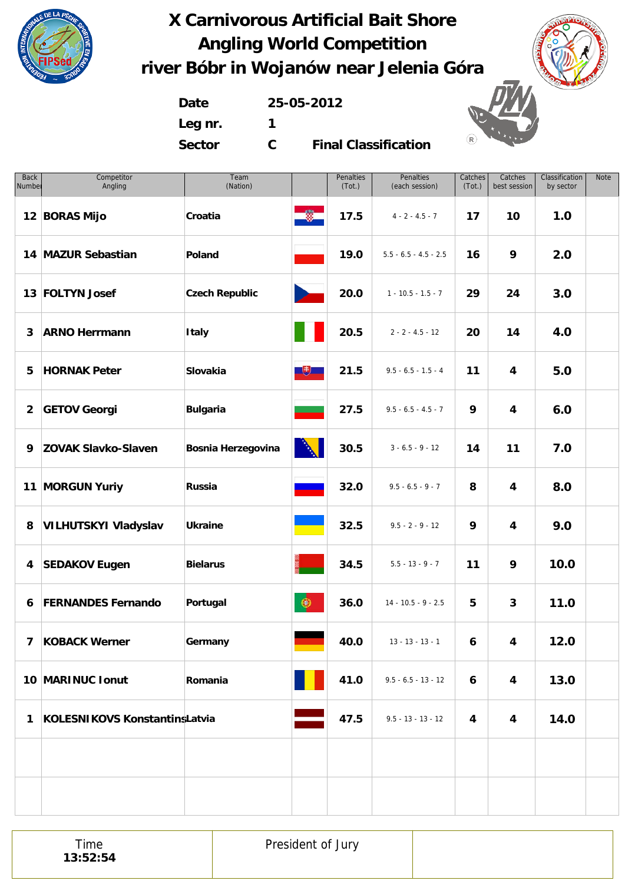



**Date 25-05-2012 Leg nr. 1**

**Sector C**

**Final Classification**

| <b>Back</b><br>Number | Competitor<br>Angling         | Team<br>(Nation)          |                | Penalties<br>(Tot.) | Penalties<br>(each session) | Catches<br>(Tot.) | Catches<br>best session | Classification<br>by sector | Note |
|-----------------------|-------------------------------|---------------------------|----------------|---------------------|-----------------------------|-------------------|-------------------------|-----------------------------|------|
|                       | 12 BORAS Mijo                 | Croatia                   | œ,             | 17.5                | $4 - 2 - 4.5 - 7$           | 17                | 10                      | 1.0                         |      |
|                       | 14 MAZUR Sebastian            | Poland                    |                | 19.0                | $5.5 - 6.5 - 4.5 - 2.5$     | 16                | 9                       | 2.0                         |      |
|                       | 13 FOLTYN Josef               | <b>Czech Republic</b>     |                | 20.0                | $1 - 10.5 - 1.5 - 7$        | 29                | 24                      | 3.0                         |      |
| 3                     | <b>ARNO Herrmann</b>          | <b>Italy</b>              |                | 20.5                | $2 - 2 - 4.5 - 12$          | 20                | 14                      | 4.0                         |      |
| 5                     | <b>HORNAK Peter</b>           | Slovakia                  | $\mathbb{R}^+$ | 21.5                | $9.5 - 6.5 - 1.5 - 4$       | 11                | 4                       | 5.0                         |      |
| $\overline{2}$        | <b>GETOV Georgi</b>           | <b>Bulgaria</b>           |                | 27.5                | $9.5 - 6.5 - 4.5 - 7$       | 9                 | 4                       | 6.0                         |      |
| 9                     | <b>ZOVAK Slavko-Slaven</b>    | <b>Bosnia Herzegovina</b> |                | 30.5                | $3 - 6.5 - 9 - 12$          | 14                | 11                      | 7.0                         |      |
|                       | 11 MORGUN Yuriy               | Russia                    |                | 32.0                | $9.5 - 6.5 - 9 - 7$         | 8                 | 4                       | 8.0                         |      |
| 8                     | <b>VILHUTSKYI Vladyslav</b>   | <b>Ukraine</b>            |                | 32.5                | $9.5 - 2 - 9 - 12$          | 9                 | 4                       | 9.0                         |      |
|                       | 4 SEDAKOV Eugen               | <b>Bielarus</b>           |                | 34.5                | $5.5 - 13 - 9 - 7$          | 11                | 9                       | 10.0                        |      |
| 6                     | <b>FERNANDES Fernando</b>     | Portugal                  | $\circledast$  | 36.0                | $14 - 10.5 - 9 - 2.5$       | 5                 | $\mathbf{3}$            | 11.0                        |      |
|                       | 7 KOBACK Werner               | Germany                   |                | 40.0                | $13 - 13 - 13 - 1$          | 6                 | $\overline{\mathbf{4}}$ | 12.0                        |      |
|                       | 10 MARINUC Ionut              | Romania                   |                | 41.0                | $9.5 - 6.5 - 13 - 12$       | 6                 | $\overline{\mathbf{4}}$ | 13.0                        |      |
| $\mathbf{1}$          | KOLESNIKOVS KonstantinsLatvia |                           |                | 47.5                | $9.5 - 13 - 13 - 12$        | 4                 | 4                       | 14.0                        |      |
|                       |                               |                           |                |                     |                             |                   |                         |                             |      |
|                       |                               |                           |                |                     |                             |                   |                         |                             |      |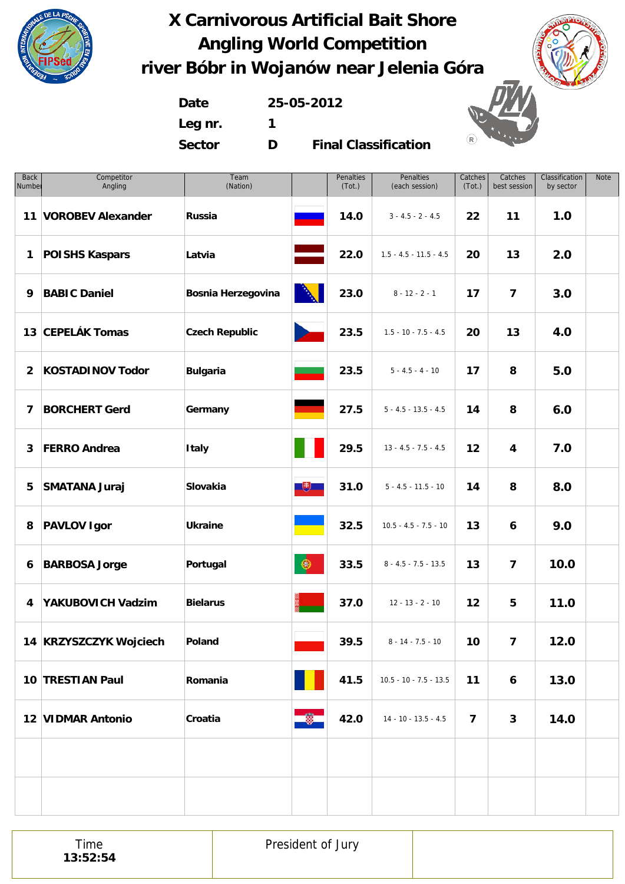



**Date 25-05-2012 Leg nr. 1 Sector D**

**Final Classification**

| Competitor<br>Number<br>Angling | Team<br>(Nation)          |                                                                                                                      | Penalties<br>(Tot.) | Penalties<br>(each session) | Catches<br>(Tot.) | Catches<br>best session | Classification<br>by sector | Note |
|---------------------------------|---------------------------|----------------------------------------------------------------------------------------------------------------------|---------------------|-----------------------------|-------------------|-------------------------|-----------------------------|------|
| 11 VOROBEV Alexander            | Russia                    |                                                                                                                      | 14.0                | $3 - 4.5 - 2 - 4.5$         | 22                | 11                      | 1.0                         |      |
| <b>POISHS Kaspars</b>           | Latvia                    |                                                                                                                      | 22.0                | $1.5 - 4.5 - 11.5 - 4.5$    | 20                | 13                      | 2.0                         |      |
| <b>BABIC Daniel</b>             | <b>Bosnia Herzegovina</b> |                                                                                                                      | 23.0                | $8 - 12 - 2 - 1$            | 17                | $\overline{\mathbf{z}}$ | 3.0                         |      |
| 13 CEPELÁK Tomas                | <b>Czech Republic</b>     | <b>Contract Contract Contract</b>                                                                                    | 23.5                | $1.5 - 10 - 7.5 - 4.5$      | 20                | 13                      | 4.0                         |      |
| <b>KOSTADINOV Todor</b>         | <b>Bulgaria</b>           |                                                                                                                      | 23.5                | $5 - 4.5 - 4 - 10$          | 17                | 8                       | 5.0                         |      |
| <b>BORCHERT Gerd</b>            | Germany                   |                                                                                                                      | 27.5                | $5 - 4.5 - 13.5 - 4.5$      | 14                | 8                       | 6.0                         |      |
| <b>FERRO Andrea</b>             | <b>Italy</b>              |                                                                                                                      | 29.5                | $13 - 4.5 - 7.5 - 4.5$      | 12                | 4                       | 7.0                         |      |
| <b>SMATANA Juraj</b>            | Slovakia                  | $\overline{1}$                                                                                                       | 31.0                | $5 - 4.5 - 11.5 - 10$       | 14                | 8                       | 8.0                         |      |
| <b>PAVLOV Igor</b>              | <b>Ukraine</b>            | <b>Contract Contract Contract Contract Contract Contract Contract Contract Contract Contract Contract Contract C</b> | 32.5                | $10.5 - 4.5 - 7.5 - 10$     | 13                | 6                       | 9.0                         |      |
| <b>BARBOSA Jorge</b>            | Portugal                  | $\circledast$                                                                                                        | 33.5                | $8 - 4.5 - 7.5 - 13.5$      | 13                | $\overline{\mathbf{z}}$ | 10.0                        |      |
| YAKUBOVICH Vadzim               | <b>Bielarus</b>           |                                                                                                                      | 37.0                | $12 - 13 - 2 - 10$          | 12                | 5                       | 11.0                        |      |
| 14 KRZYSZCZYK Wojciech          | Poland                    |                                                                                                                      | 39.5                | $8 - 14 - 7.5 - 10$         | 10                | 7                       | 12.0                        |      |
| 10 TRESTIAN Paul                | Romania                   |                                                                                                                      | 41.5                | $10.5 - 10 - 7.5 - 13.5$    | 11                | 6                       | 13.0                        |      |
| 12 VIDMAR Antonio               | Croatia                   |                                                                                                                      | 42.0                | $14 - 10 - 13.5 - 4.5$      | $\overline{7}$    | 3                       | 14.0                        |      |
|                                 |                           |                                                                                                                      |                     |                             |                   |                         |                             |      |
|                                 |                           |                                                                                                                      |                     |                             |                   |                         |                             |      |
|                                 |                           |                                                                                                                      |                     |                             |                   |                         |                             |      |

Time **13:52:54** President of Jury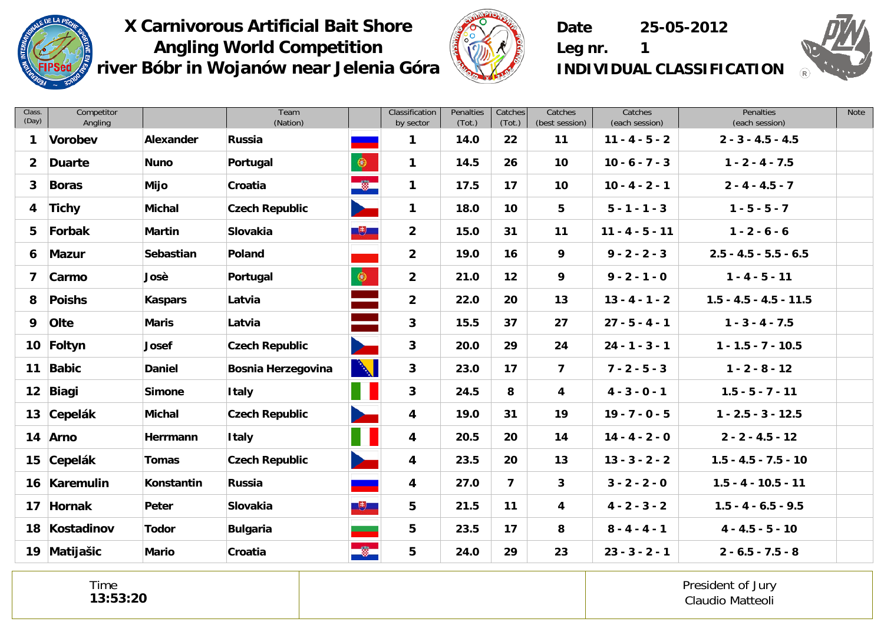



**Date 25-05-2012**



**Leg nr. 1 INDIVIDUAL CLASSIFICATION**

| Class.<br>(Day) | Competitor<br>Angling |                  | Team<br>(Nation)          |           | Classification<br>by sector | Penalties<br>(Tot.) | Catches<br>(Tot.) | Catches<br>(best session) | Catches<br>(each session) | <b>Penalties</b><br>(each session) | Note |
|-----------------|-----------------------|------------------|---------------------------|-----------|-----------------------------|---------------------|-------------------|---------------------------|---------------------------|------------------------------------|------|
| 1               | Vorobev               | Alexander        | <b>Russia</b>             |           | 1                           | 14.0                | 22                | 11                        | $11 - 4 - 5 - 2$          | $2 - 3 - 4.5 - 4.5$                |      |
| $\mathbf{2}$    | <b>Duarte</b>         | <b>Nuno</b>      | Portugal                  | $\bullet$ | $\mathbf{1}$                | 14.5                | 26                | 10                        | $10 - 6 - 7 - 3$          | $1 - 2 - 4 - 7.5$                  |      |
| $\mathbf{3}$    | <b>Boras</b>          | Mijo             | Croatia                   | $\bullet$ | $\mathbf 1$                 | 17.5                | 17                | 10                        | $10 - 4 - 2 - 1$          | $2 - 4 - 4.5 - 7$                  |      |
| 4               | <b>Tichy</b>          | <b>Michal</b>    | <b>Czech Republic</b>     |           | 1                           | 18.0                | 10                | 5                         | $5 - 1 - 1 - 3$           | $1 - 5 - 5 - 7$                    |      |
| 5               | Forbak                | <b>Martin</b>    | Slovakia                  | $+$       | $\overline{2}$              | 15.0                | 31                | 11                        | $11 - 4 - 5 - 11$         | $1 - 2 - 6 - 6$                    |      |
| 6               | <b>Mazur</b>          | <b>Sebastian</b> | Poland                    |           | $\overline{2}$              | 19.0                | 16                | 9                         | $9 - 2 - 2 - 3$           | $2.5 - 4.5 - 5.5 - 6.5$            |      |
| $\overline{7}$  | Carmo                 | Josè             | Portugal                  | $\bullet$ | $\overline{2}$              | 21.0                | 12                | 9                         | $9 - 2 - 1 - 0$           | $1 - 4 - 5 - 11$                   |      |
| 8               | <b>Poishs</b>         | <b>Kaspars</b>   | Latvia                    |           | $\overline{2}$              | 22.0                | 20                | 13                        | $13 - 4 - 1 - 2$          | $1.5 - 4.5 - 4.5 - 11.5$           |      |
| 9               | Olte                  | <b>Maris</b>     | Latvia                    |           | $\mathbf{3}$                | 15.5                | 37                | 27                        | $27 - 5 - 4 - 1$          | $1 - 3 - 4 - 7.5$                  |      |
| 10 <sup>°</sup> | Foltyn                | Josef            | <b>Czech Republic</b>     |           | 3                           | 20.0                | 29                | 24                        | $24 - 1 - 3 - 1$          | $1 - 1.5 - 7 - 10.5$               |      |
| 11              | <b>Babic</b>          | <b>Daniel</b>    | <b>Bosnia Herzegovina</b> | N         | 3                           | 23.0                | 17                | 7                         | $7 - 2 - 5 - 3$           | $1 - 2 - 8 - 12$                   |      |
| 12 <sub>2</sub> | Biagi                 | <b>Simone</b>    | <b>Italy</b>              |           | 3                           | 24.5                | 8                 | 4                         | $4 - 3 - 0 - 1$           | $1.5 - 5 - 7 - 11$                 |      |
| 13              | Cepelák               | Michal           | <b>Czech Republic</b>     |           | 4                           | 19.0                | 31                | 19                        | $19 - 7 - 0 - 5$          | $1 - 2.5 - 3 - 12.5$               |      |
| 14              | Arno                  | Herrmann         | <b>Italy</b>              |           | 4                           | 20.5                | 20                | 14                        | $14 - 4 - 2 - 0$          | $2 - 2 - 4.5 - 12$                 |      |
| 15              | Cepelák               | <b>Tomas</b>     | <b>Czech Republic</b>     |           | 4                           | 23.5                | 20                | 13                        | $13 - 3 - 2 - 2$          | $1.5 - 4.5 - 7.5 - 10$             |      |
|                 | 16 Karemulin          | Konstantin       | <b>Russia</b>             |           | 4                           | 27.0                | $\overline{7}$    | 3                         | $3 - 2 - 2 - 0$           | $1.5 - 4 - 10.5 - 11$              |      |
| 17              | Hornak                | Peter            | <b>Slovakia</b>           | $+$       | 5                           | 21.5                | 11                | $\overline{\mathbf{4}}$   | $4 - 2 - 3 - 2$           | $1.5 - 4 - 6.5 - 9.5$              |      |
| 18              | Kostadinov            | <b>Todor</b>     | <b>Bulgaria</b>           |           | 5                           | 23.5                | 17                | 8                         | $8 - 4 - 4 - 1$           | $4 - 4.5 - 5 - 10$                 |      |
|                 | 19 Matijašic          | <b>Mario</b>     | Croatia                   | $\bullet$ | 5                           | 24.0                | 29                | 23                        | $23 - 3 - 2 - 1$          | $2 - 6.5 - 7.5 - 8$                |      |

Time **13:53:20**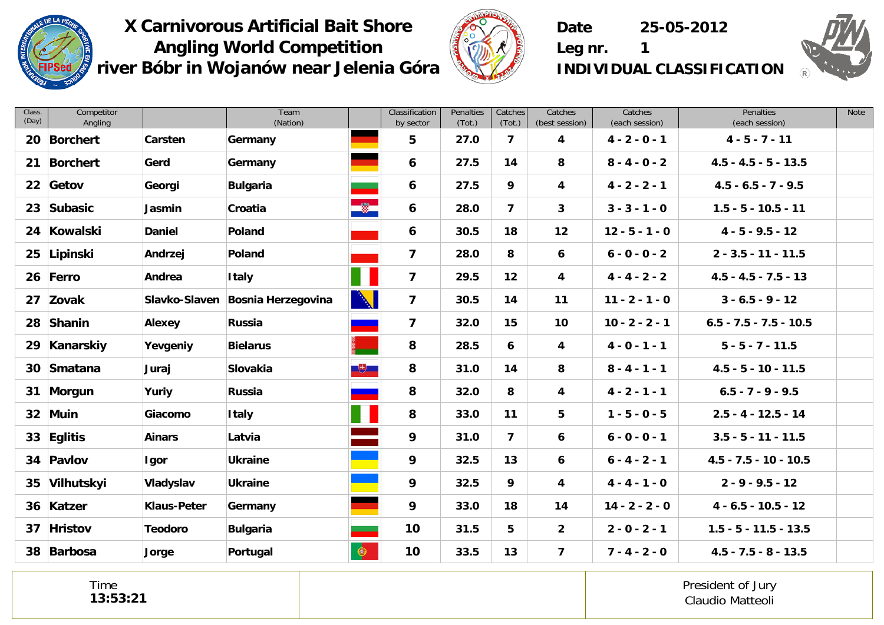



**Date 25-05-2012**

**Leg nr. 1 INDIVIDUAL CLASSIFICATION**

| Class.<br>(Day) | Competitor<br>Angling |                    | Team<br>(Nation)          |           | Classification<br>by sector | Penalties<br>(Tot.) | Catches<br>(Tot.)       | Catches<br>(best session) | Catches<br>(each session) | Penalties<br>(each session) | Note |
|-----------------|-----------------------|--------------------|---------------------------|-----------|-----------------------------|---------------------|-------------------------|---------------------------|---------------------------|-----------------------------|------|
| 20              | <b>Borchert</b>       | Carsten            | Germany                   |           | 5                           | 27.0                | $\overline{\mathbf{z}}$ | 4                         | $4 - 2 - 0 - 1$           | $4 - 5 - 7 - 11$            |      |
| 21              | <b>Borchert</b>       | Gerd               | Germany                   |           | 6                           | 27.5                | 14                      | 8                         | $8 - 4 - 0 - 2$           | $4.5 - 4.5 - 5 - 13.5$      |      |
| $22 \,$         | Getov                 | Georgi             | <b>Bulgaria</b>           |           | 6                           | 27.5                | 9                       | 4                         | $4 - 2 - 2 - 1$           | $4.5 - 6.5 - 7 - 9.5$       |      |
| 23              | Subasic               | Jasmin             | Croatia                   | $\bullet$ | 6                           | 28.0                | $\overline{7}$          | 3                         | $3 - 3 - 1 - 0$           | $1.5 - 5 - 10.5 - 11$       |      |
| 24              | Kowalski              | <b>Daniel</b>      | Poland                    |           | 6                           | 30.5                | 18                      | 12                        | $12 - 5 - 1 - 0$          | $4 - 5 - 9.5 - 12$          |      |
| 25              | Lipinski              | Andrzej            | Poland                    |           | 7                           | 28.0                | 8                       | $\boldsymbol{6}$          | $6 - 0 - 0 - 2$           | $2 - 3.5 - 11 - 11.5$       |      |
|                 | 26 Ferro              | Andrea             | <b>Italy</b>              |           | $\overline{\mathbf{z}}$     | 29.5                | 12                      | $\overline{\mathbf{4}}$   | $4 - 4 - 2 - 2$           | $4.5 - 4.5 - 7.5 - 13$      |      |
|                 | 27 Zovak              | Slavko-Slaven      | <b>Bosnia Herzegovina</b> | N         | $\overline{\mathbf{z}}$     | 30.5                | 14                      | 11                        | $11 - 2 - 1 - 0$          | $3 - 6.5 - 9 - 12$          |      |
| 28              | Shanin                | Alexey             | Russia                    |           | $\overline{\mathbf{z}}$     | 32.0                | 15                      | 10                        | $10 - 2 - 2 - 1$          | $6.5 - 7.5 - 7.5 - 10.5$    |      |
| 29              | Kanarskiy             | Yevgeniy           | <b>Bielarus</b>           |           | 8                           | 28.5                | 6                       | 4                         | $4 - 0 - 1 - 1$           | $5 - 5 - 7 - 11.5$          |      |
| 30              | Smatana               | Juraj              | Slovakia                  | $+$       | 8                           | 31.0                | 14                      | 8                         | $8 - 4 - 1 - 1$           | $4.5 - 5 - 10 - 11.5$       |      |
| 31              | Morgun                | Yuriy              | Russia                    |           | 8                           | 32.0                | 8                       | 4                         | $4 - 2 - 1 - 1$           | $6.5 - 7 - 9 - 9.5$         |      |
|                 | 32 Muin               | Giacomo            | <b>Italy</b>              |           | 8                           | 33.0                | 11                      | 5                         | $1 - 5 - 0 - 5$           | $2.5 - 4 - 12.5 - 14$       |      |
|                 | 33 Eglitis            | <b>Ainars</b>      | Latvia                    |           | 9                           | 31.0                | $\overline{7}$          | 6                         | $6 - 0 - 0 - 1$           | $3.5 - 5 - 11 - 11.5$       |      |
|                 | 34 Pavlov             | Igor               | <b>Ukraine</b>            |           | 9                           | 32.5                | 13                      | 6                         | $6 - 4 - 2 - 1$           | $4.5 - 7.5 - 10 - 10.5$     |      |
| 35              | Vilhutskyi            | Vladyslav          | <b>Ukraine</b>            |           | 9                           | 32.5                | 9                       | 4                         | $4 - 4 - 1 - 0$           | $2 - 9 - 9.5 - 12$          |      |
|                 | 36 Katzer             | <b>Klaus-Peter</b> | Germany                   |           | 9                           | 33.0                | 18                      | 14                        | $14 - 2 - 2 - 0$          | $4 - 6.5 - 10.5 - 12$       |      |
|                 | 37 Hristov            | <b>Teodoro</b>     | <b>Bulgaria</b>           |           | 10                          | 31.5                | 5                       | $\overline{2}$            | $2 - 0 - 2 - 1$           | $1.5 - 5 - 11.5 - 13.5$     |      |
| 38              | Barbosa               | Jorge              | Portugal                  | $\bullet$ | 10                          | 33.5                | 13                      | $\overline{7}$            | $7 - 4 - 2 - 0$           | $4.5 - 7.5 - 8 - 13.5$      |      |

Time **13:53:21**